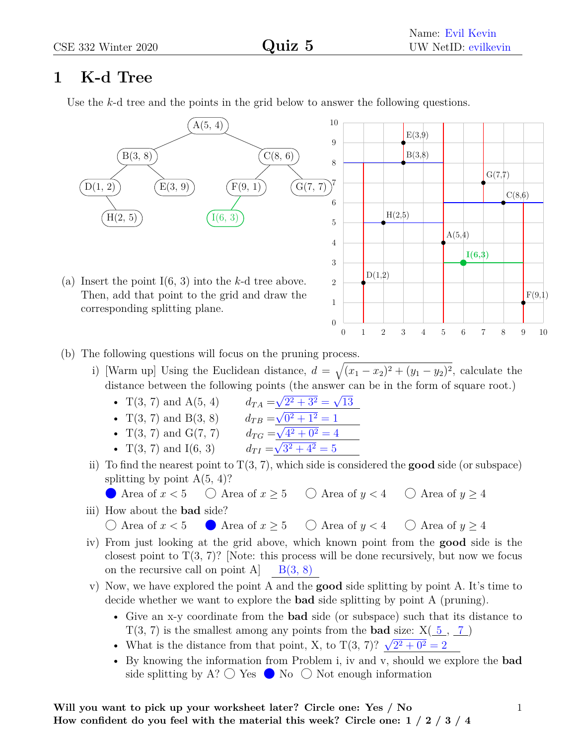## **1 K-d Tree**

Use the *k*-d tree and the points in the grid below to answer the following questions.



- (b) The following questions will focus on the pruning process.
	- i) [Warm up] Using the Euclidean distance,  $d = \sqrt{(x_1 x_2)^2 + (y_1 y_2)^2}$ , calculate the distance between the following points (the answer can be in the form of square root.) √ √
		- $T(3, 7)$  and  $A(5, 4)$  *d*<sub>TA</sub> =  $2^2 + 3^2 =$ 13 •  $T(3, 7)$  and  $B(3, 8)$  *d<sub>TB</sub>* =  $\frac{\mathbf{v}}{\mathbf{v}}$  $\overline{0^2 + 1^2} = 1$ •  $T(3, 7)$  and  $G(7, 7)$  *d*<sub>*TG*</sub> =  $\frac{\mathbf{V}}{2}$  $4^2 + 0^2 = 4$ √
		- $T(3, 7)$  and  $I(6, 3)$  *d<sub>TI</sub>* =  $3^2 + 4^2 = 5$
	- ii) To find the nearest point to  $T(3, 7)$ , which side is considered the **good** side (or subspace) splitting by point  $A(5, 4)$ ?
		- Area of  $x < 5$   $\bigcirc$  Area of  $x \ge 5$   $\bigcirc$  Area of  $y < 4$   $\bigcirc$  Area of  $y \ge 4$
	- iii) How about the **bad** side?

 $\bigcirc$  Area of  $x < 5$  Area of  $x > 5$   $\bigcirc$  Area of  $y < 4$   $\bigcirc$  Area of  $y > 4$ 

- iv) From just looking at the grid above, which known point from the **good** side is the closest point to  $T(3, 7)$ ? [Note: this process will be done recursively, but now we focus on the recursive call on point A  $B(3, 8)$
- v) Now, we have explored the point A and the **good** side splitting by point A. It's time to decide whether we want to explore the **bad** side splitting by point A (pruning).
	- Give an x-y coordinate from the **bad** side (or subspace) such that its distance to  $T(3, 7)$  is the smallest among any points from the **bad** size:  $X(\underline{5}, \underline{7})$
	- What is the distance from that point, X, to  $T(3, 7)$ ?  $\sqrt{2^2 + 0^2} = 2$
	- By knowing the information from Problem i, iv and v, should we explore the **bad** side splitting by A?  $\bigcirc$  Yes  $\bigcirc$  No  $\bigcirc$  Not enough information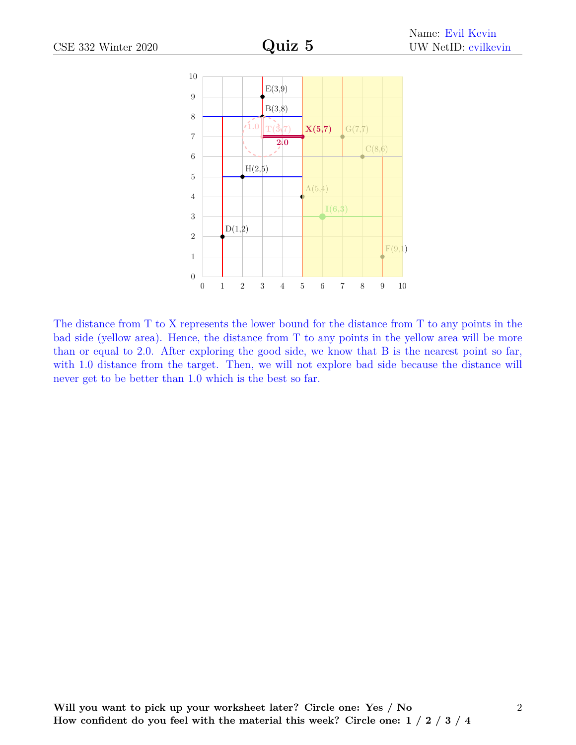

The distance from T to X represents the lower bound for the distance from T to any points in the bad side (yellow area). Hence, the distance from T to any points in the yellow area will be more than or equal to 2*.*0. After exploring the good side, we know that B is the nearest point so far, with 1.0 distance from the target. Then, we will not explore bad side because the distance will never get to be better than 1*.*0 which is the best so far.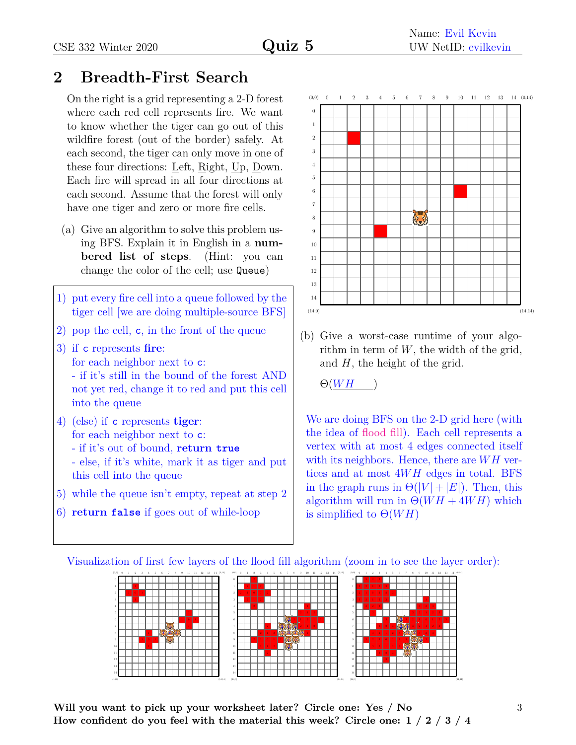## **2 Breadth-First Search**

On the right is a grid representing a 2-D forest where each red cell represents fire. We want to know whether the tiger can go out of this wildfire forest (out of the border) safely. At each second, the tiger can only move in one of these four directions: Left, Right, Up, Down. Each fire will spread in all four directions at each second. Assume that the forest will only have one tiger and zero or more fire cells.

- (a) Give an algorithm to solve this problem using BFS. Explain it in English in a **numbered list of steps**. (Hint: you can change the color of the cell; use Queue)
- 1) put every fire cell into a queue followed by the tiger cell [we are doing multiple-source BFS]
- 2) pop the cell, c, in the front of the queue
- 3) if c represents **fire**: for each neighbor next to c: - if it's still in the bound of the forest AND not yet red, change it to red and put this cell into the queue
- 4) (else) if c represents **tiger**: for each neighbor next to c:
	- if it's out of bound, **return true**
	- else, if it's white, mark it as tiger and put this cell into the queue
- 5) while the queue isn't empty, repeat at step 2
- 6) **return false** if goes out of while-loop



(b) Give a worst-case runtime of your algorithm in term of *W*, the width of the grid, and *H*, the height of the grid.

 $\Theta(WH)$ 

We are doing BFS on the 2-D grid here (with the idea of [flood fill\)](https://en.wikipedia.org/wiki/Flood_fill#Large-scale_behaviour). Each cell represents a vertex with at most 4 edges connected itself with its neighbors. Hence, there are *W H* vertices and at most 4*W H* edges in total. BFS in the graph runs in  $\Theta(|V| + |E|)$ . Then, this algorithm will run in  $\Theta(WH + 4WH)$  which is simplified to  $\Theta(WH)$